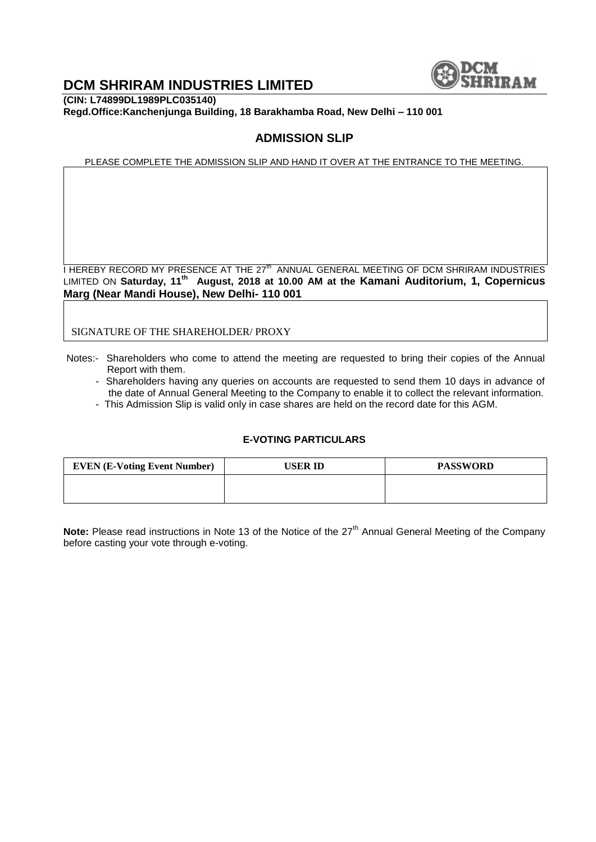

# **DCM SHRIRAM INDUSTRIES LIMITED**

**(CIN: L74899DL1989PLC035140) Regd.Office:Kanchenjunga Building, 18 Barakhamba Road, New Delhi – 110 001**

## **ADMISSION SLIP**

PLEASE COMPLETE THE ADMISSION SLIP AND HAND IT OVER AT THE ENTRANCE TO THE MEETING.

I HEREBY RECORD MY PRESENCE AT THE 27<sup>th</sup> ANNUAL GENERAL MEETING OF DCM SHRIRAM INDUSTRIES LIMITED ON **Saturday, 11th August, 2018 at 10.00 AM at the Kamani Auditorium, 1, Copernicus Marg (Near Mandi House), New Delhi- 110 001** 

SIGNATURE OF THE SHAREHOLDER/ PROXY

- Notes:- Shareholders who come to attend the meeting are requested to bring their copies of the Annual Report with them.
	- Shareholders having any queries on accounts are requested to send them 10 days in advance of the date of Annual General Meeting to the Company to enable it to collect the relevant information.
	- This Admission Slip is valid only in case shares are held on the record date for this AGM.

#### **E-VOTING PARTICULARS**

| <b>EVEN (E-Voting Event Number)</b> | USER ID | <b>PASSWORD</b> |
|-------------------------------------|---------|-----------------|
|                                     |         |                 |
|                                     |         |                 |

**Note:** Please read instructions in Note 13 of the Notice of the 27<sup>th</sup> Annual General Meeting of the Company before casting your vote through e-voting.